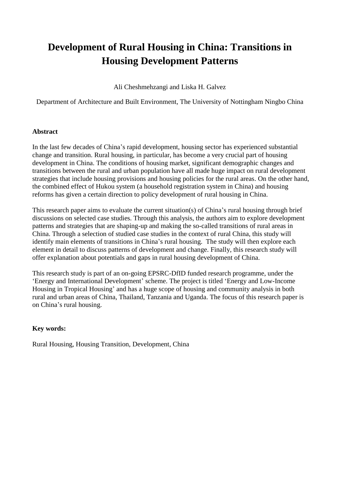# **Development of Rural Housing in China: Transitions in Housing Development Patterns**

Ali Cheshmehzangi and Liska H. Galvez

Department of Architecture and Built Environment, The University of Nottingham Ningbo China

#### **Abstract**

In the last few decades of China's rapid development, housing sector has experienced substantial change and transition. Rural housing, in particular, has become a very crucial part of housing development in China. The conditions of housing market, significant demographic changes and transitions between the rural and urban population have all made huge impact on rural development strategies that include housing provisions and housing policies for the rural areas. On the other hand, the combined effect of Hukou system (a household registration system in China) and housing reforms has given a certain direction to policy development of rural housing in China.

This research paper aims to evaluate the current situation(s) of China's rural housing through brief discussions on selected case studies. Through this analysis, the authors aim to explore development patterns and strategies that are shaping-up and making the so-called transitions of rural areas in China. Through a selection of studied case studies in the context of rural China, this study will identify main elements of transitions in China's rural housing. The study will then explore each element in detail to discuss patterns of development and change. Finally, this research study will offer explanation about potentials and gaps in rural housing development of China.

This research study is part of an on-going EPSRC-DfID funded research programme, under the 'Energy and International Development' scheme. The project is titled 'Energy and Low-Income Housing in Tropical Housing' and has a huge scope of housing and community analysis in both rural and urban areas of China, Thailand, Tanzania and Uganda. The focus of this research paper is on China's rural housing.

## **Key words:**

Rural Housing, Housing Transition, Development, China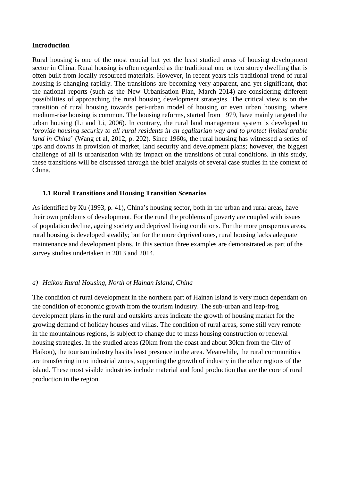#### **Introduction**

Rural housing is one of the most crucial but yet the least studied areas of housing development sector in China. Rural housing is often regarded as the traditional one or two storey dwelling that is often built from locally-resourced materials. However, in recent years this traditional trend of rural housing is changing rapidly. The transitions are becoming very apparent, and yet significant, that the national reports (such as the New Urbanisation Plan, March 2014) are considering different possibilities of approaching the rural housing development strategies. The critical view is on the transition of rural housing towards peri-urban model of housing or even urban housing, where medium-rise housing is common. The housing reforms, started from 1979, have mainly targeted the urban housing (Li and Li, 2006). In contrary, the rural land management system is developed to '*provide housing security to all rural residents in an egalitarian way and to protect limited arable land in China*' (Wang et al, 2012, p. 202). Since 1960s, the rural housing has witnessed a series of ups and downs in provision of market, land security and development plans; however, the biggest challenge of all is urbanisation with its impact on the transitions of rural conditions. In this study, these transitions will be discussed through the brief analysis of several case studies in the context of China.

## **1.1 Rural Transitions and Housing Transition Scenarios**

As identified by Xu (1993, p. 41), China's housing sector, both in the urban and rural areas, have their own problems of development. For the rural the problems of poverty are coupled with issues of population decline, ageing society and deprived living conditions. For the more prosperous areas, rural housing is developed steadily; but for the more deprived ones, rural housing lacks adequate maintenance and development plans. In this section three examples are demonstrated as part of the survey studies undertaken in 2013 and 2014.

## *a) Haikou Rural Housing, North of Hainan Island, China*

The condition of rural development in the northern part of Hainan Island is very much dependant on the condition of economic growth from the tourism industry. The sub-urban and leap-frog development plans in the rural and outskirts areas indicate the growth of housing market for the growing demand of holiday houses and villas. The condition of rural areas, some still very remote in the mountainous regions, is subject to change due to mass housing construction or renewal housing strategies. In the studied areas (20km from the coast and about 30km from the City of Haikou), the tourism industry has its least presence in the area. Meanwhile, the rural communities are transferring in to industrial zones, supporting the growth of industry in the other regions of the island. These most visible industries include material and food production that are the core of rural production in the region.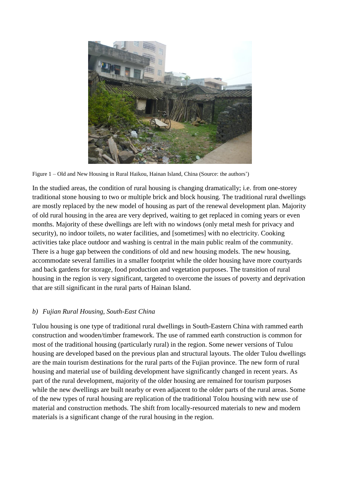

Figure 1 – Old and New Housing in Rural Haikou, Hainan Island, China (Source: the authors')

In the studied areas, the condition of rural housing is changing dramatically; i.e. from one-storey traditional stone housing to two or multiple brick and block housing. The traditional rural dwellings are mostly replaced by the new model of housing as part of the renewal development plan. Majority of old rural housing in the area are very deprived, waiting to get replaced in coming years or even months. Majority of these dwellings are left with no windows (only metal mesh for privacy and security), no indoor toilets, no water facilities, and [sometimes] with no electricity. Cooking activities take place outdoor and washing is central in the main public realm of the community. There is a huge gap between the conditions of old and new housing models. The new housing, accommodate several families in a smaller footprint while the older housing have more courtyards and back gardens for storage, food production and vegetation purposes. The transition of rural housing in the region is very significant, targeted to overcome the issues of poverty and deprivation that are still significant in the rural parts of Hainan Island.

## *b) Fujian Rural Housing, South-East China*

Tulou housing is one type of traditional rural dwellings in South-Eastern China with rammed earth construction and wooden/timber framework. The use of rammed earth construction is common for most of the traditional housing (particularly rural) in the region. Some newer versions of Tulou housing are developed based on the previous plan and structural layouts. The older Tulou dwellings are the main tourism destinations for the rural parts of the Fujian province. The new form of rural housing and material use of building development have significantly changed in recent years. As part of the rural development, majority of the older housing are remained for tourism purposes while the new dwellings are built nearby or even adjacent to the older parts of the rural areas. Some of the new types of rural housing are replication of the traditional Tolou housing with new use of material and construction methods. The shift from locally-resourced materials to new and modern materials is a significant change of the rural housing in the region.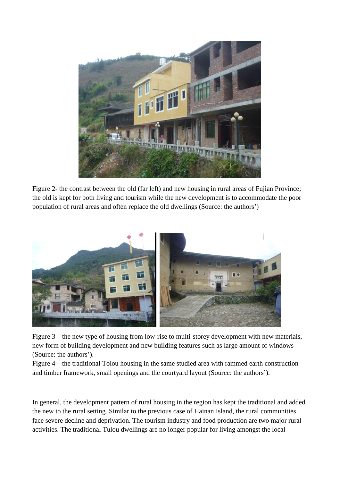

Figure 2- the contrast between the old (far left) and new housing in rural areas of Fujian Province; the old is kept for both living and tourism while the new development is to accommodate the poor population of rural areas and often replace the old dwellings (Source: the authors')



Figure 3 – the new type of housing from low-rise to multi-storey development with new materials, new form of building development and new building features such as large amount of windows (Source: the authors').

Figure 4 – the traditional Tolou housing in the same studied area with rammed earth construction and timber framework, small openings and the courtyard layout (Source: the authors').

In general, the development pattern of rural housing in the region has kept the traditional and added the new to the rural setting. Similar to the previous case of Hainan Island, the rural communities face severe decline and deprivation. The tourism industry and food production are two major rural activities. The traditional Tulou dwellings are no longer popular for living amongst the local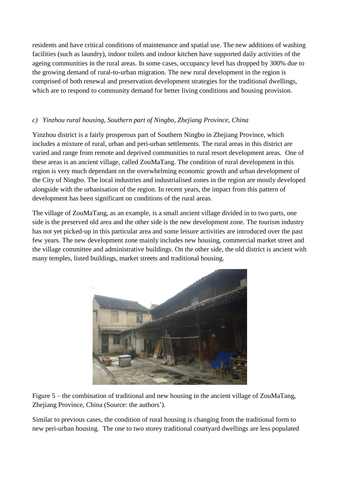residents and have critical conditions of maintenance and spatial use. The new additions of washing facilities (such as laundry), indoor toilets and indoor kitchen have supported daily activities of the ageing communities in the rural areas. In some cases, occupancy level has dropped by 300% due to the growing demand of rural-to-urban migration. The new rural development in the region is comprised of both renewal and preservation development strategies for the traditional dwellings, which are to respond to community demand for better living conditions and housing provision.

## *c) Yinzhou rural housing, Southern part of Ningbo, Zhejiang Province, China*

Yinzhou district is a fairly prosperous part of Southern Ningbo in Zhejiang Province, which includes a mixture of rural, urban and peri-urban settlements. The rural areas in this district are varied and range from remote and deprived communities to rural resort development areas. One of these areas is an ancient village, called ZouMaTang. The condition of rural development in this region is very much dependant on the overwhelming economic growth and urban development of the City of Ningbo. The local industries and industrialised zones in the region are mostly developed alongside with the urbanisation of the region. In recent years, the impact from this pattern of development has been significant on conditions of the rural areas.

The village of ZouMaTang, as an example, is a small ancient village divided in to two parts, one side is the preserved old area and the other side is the new development zone. The tourism industry has not yet picked-up in this particular area and some leisure activities are introduced over the past few years. The new development zone mainly includes new housing, commercial market street and the village committee and administrative buildings. On the other side, the old district is ancient with many temples, listed buildings, market streets and traditional housing.



Figure 5 – the combination of traditional and new housing in the ancient village of ZouMaTang, Zhejiang Province, China (Source: the authors').

Similar to previous cases, the condition of rural housing is changing from the traditional form to new peri-urban housing. The one to two storey traditional courtyard dwellings are less populated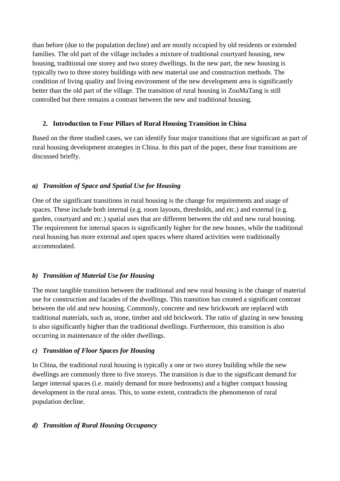than before (due to the population decline) and are mostly occupied by old residents or extended families. The old part of the village includes a mixture of traditional courtyard housing, new housing, traditional one storey and two storey dwellings. In the new part, the new housing is typically two to three storey buildings with new material use and construction methods. The condition of living quality and living environment of the new development area is significantly better than the old part of the village. The transition of rural housing in ZouMaTang is still controlled but there remains a contrast between the new and traditional housing.

## **2. Introduction to Four Pillars of Rural Housing Transition in China**

Based on the three studied cases, we can identify four major transitions that are significant as part of rural housing development strategies in China. In this part of the paper, these four transitions are discussed briefly.

# *a) Transition of Space and Spatial Use for Housing*

One of the significant transitions in rural housing is the change for requirements and usage of spaces. These include both internal (e.g. room layouts, thresholds, and etc.) and external (e.g. garden, courtyard and etc.) spatial uses that are different between the old and new rural housing. The requirement for internal spaces is significantly higher for the new houses, while the traditional rural housing has more external and open spaces where shared activities were traditionally accommodated.

# *b) Transition of Material Use for Housing*

The most tangible transition between the traditional and new rural housing is the change of material use for construction and facades of the dwellings. This transition has created a significant contrast between the old and new housing. Commonly, concrete and new brickwork are replaced with traditional materials, such as, stone, timber and old brickwork. The ratio of glazing in new housing is also significantly higher than the traditional dwellings. Furthermore, this transition is also occurring in maintenance of the older dwellings.

# *c) Transition of Floor Spaces for Housing*

In China, the traditional rural housing is typically a one or two storey building while the new dwellings are commonly three to five storeys. The transition is due to the significant demand for larger internal spaces (i.e. mainly demand for more bedrooms) and a higher compact housing development in the rural areas. This, to some extent, contradicts the phenomenon of rural population decline.

# *d) Transition of Rural Housing Occupancy*